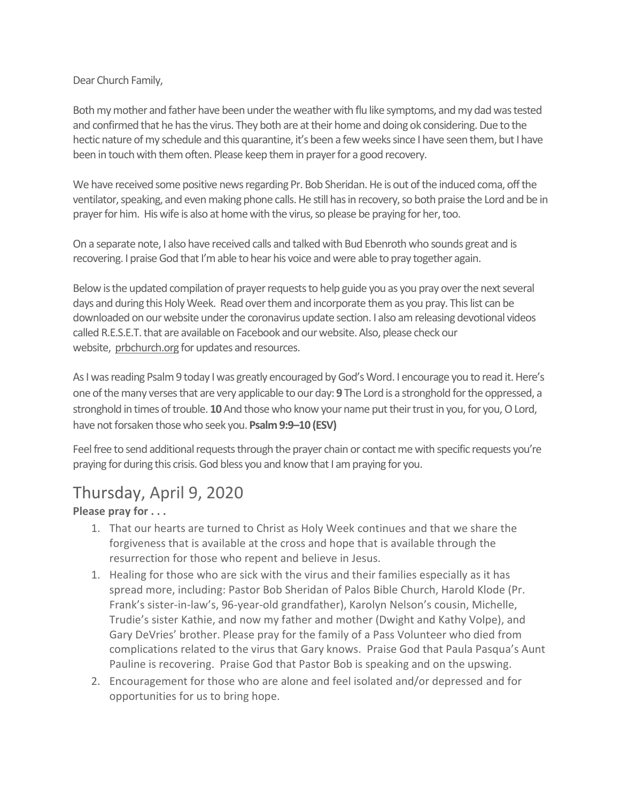#### Dear Church Family,

Both my mother and father have been under the weather with flu like symptoms, and my dad was tested and confirmed that he has the virus. They both are at their home and doing ok considering. Due to the hectic nature of my schedule and this quarantine, it's been a few weeks since I have seen them, but I have been in touch with themoften. Please keep them in prayer for a good recovery.

We have received some positive news regarding Pr. Bob Sheridan. He is out of the induced coma, off the ventilator, speaking, and even making phone calls. He still has in recovery, so both praise the Lord and be in prayer for him. His wife is also at home with the virus, so please be praying for her, too.

On a separate note, I also have received calls and talked with Bud Ebenroth who sounds great and is recovering. I praise God that I'm able to hear his voice and were able to pray together again.

Below isthe updated compilation of prayer requests to help guide you as you pray over the next several days and during this Holy Week. Read over them and incorporate them as you pray. This list can be downloaded on our website under the coronavirus update section. I also am releasing devotional videos called R.E.S.E.T. that are available on Facebook and ourwebsite. Also, please check our website, [prbchurch.org](http://prbchurch.org/) for updates and resources.

As I was reading Psalm 9 today I was greatly encouraged by God's Word. I encourage you to read it. Here's one of the many verses that are very applicable to our day: **9** The Lord is a stronghold for the oppressed, a stronghold in times of trouble. **10**And those who know your name put their trust in you, for you, O Lord, have not forsaken those who seek you. **Psalm 9:9–10 (ESV)**

Feel free to send additional requests through the prayer chain or contact me with specific requests you're praying for during this crisis. God bless you and know that I am praying for you.

# Thursday, April 9, 2020

**Please pray for . . .**

- 1. That our hearts are turned to Christ as Holy Week continues and that we share the forgiveness that is available at the cross and hope that is available through the resurrection for those who repent and believe in Jesus.
- 1. Healing for those who are sick with the virus and their families especially as it has spread more, including: Pastor Bob Sheridan of Palos Bible Church, Harold Klode (Pr. Frank's sister-in-law's, 96-year-old grandfather), Karolyn Nelson's cousin, Michelle, Trudie's sister Kathie, and now my father and mother (Dwight and Kathy Volpe), and Gary DeVries' brother. Please pray for the family of a Pass Volunteer who died from complications related to the virus that Gary knows. Praise God that Paula Pasqua's Aunt Pauline is recovering. Praise God that Pastor Bob is speaking and on the upswing.
- 2. Encouragement for those who are alone and feel isolated and/or depressed and for opportunities for us to bring hope.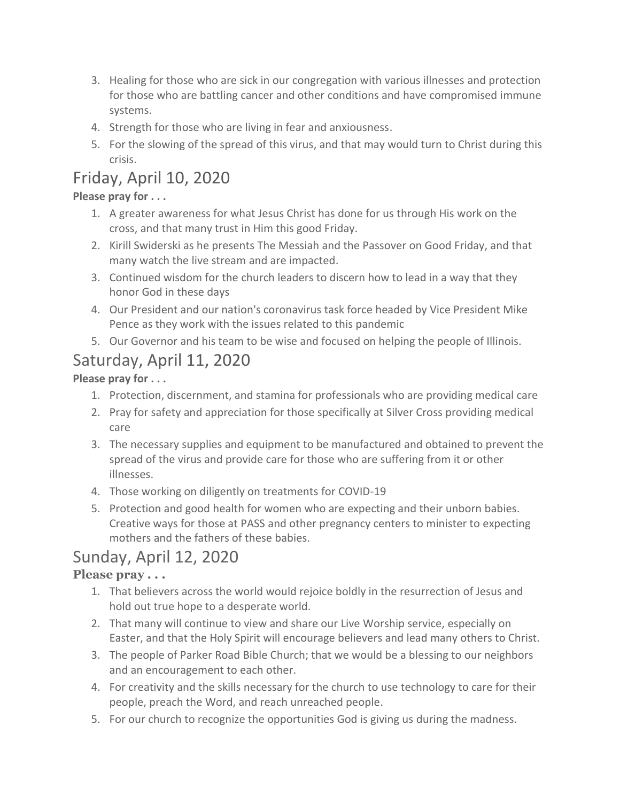- 3. Healing for those who are sick in our congregation with various illnesses and protection for those who are battling cancer and other conditions and have compromised immune systems.
- 4. Strength for those who are living in fear and anxiousness.
- 5. For the slowing of the spread of this virus, and that may would turn to Christ during this crisis.

# Friday, April 10, 2020

#### **Please pray for . . .**

- 1. A greater awareness for what Jesus Christ has done for us through His work on the cross, and that many trust in Him this good Friday.
- 2. Kirill Swiderski as he presents The Messiah and the Passover on Good Friday, and that many watch the live stream and are impacted.
- 3. Continued wisdom for the church leaders to discern how to lead in a way that they honor God in these days
- 4. Our President and our nation's coronavirus task force headed by Vice President Mike Pence as they work with the issues related to this pandemic
- 5. Our Governor and his team to be wise and focused on helping the people of Illinois.

### Saturday, April 11, 2020

**Please pray for . . .**

- 1. Protection, discernment, and stamina for professionals who are providing medical care
- 2. Pray for safety and appreciation for those specifically at Silver Cross providing medical care
- 3. The necessary supplies and equipment to be manufactured and obtained to prevent the spread of the virus and provide care for those who are suffering from it or other illnesses.
- 4. Those working on diligently on treatments for COVID-19
- 5. Protection and good health for women who are expecting and their unborn babies. Creative ways for those at PASS and other pregnancy centers to minister to expecting mothers and the fathers of these babies.

# Sunday, April 12, 2020

#### **Please pray . . .**

- 1. That believers across the world would rejoice boldly in the resurrection of Jesus and hold out true hope to a desperate world.
- 2. That many will continue to view and share our Live Worship service, especially on Easter, and that the Holy Spirit will encourage believers and lead many others to Christ.
- 3. The people of Parker Road Bible Church; that we would be a blessing to our neighbors and an encouragement to each other.
- 4. For creativity and the skills necessary for the church to use technology to care for their people, preach the Word, and reach unreached people.
- 5. For our church to recognize the opportunities God is giving us during the madness.